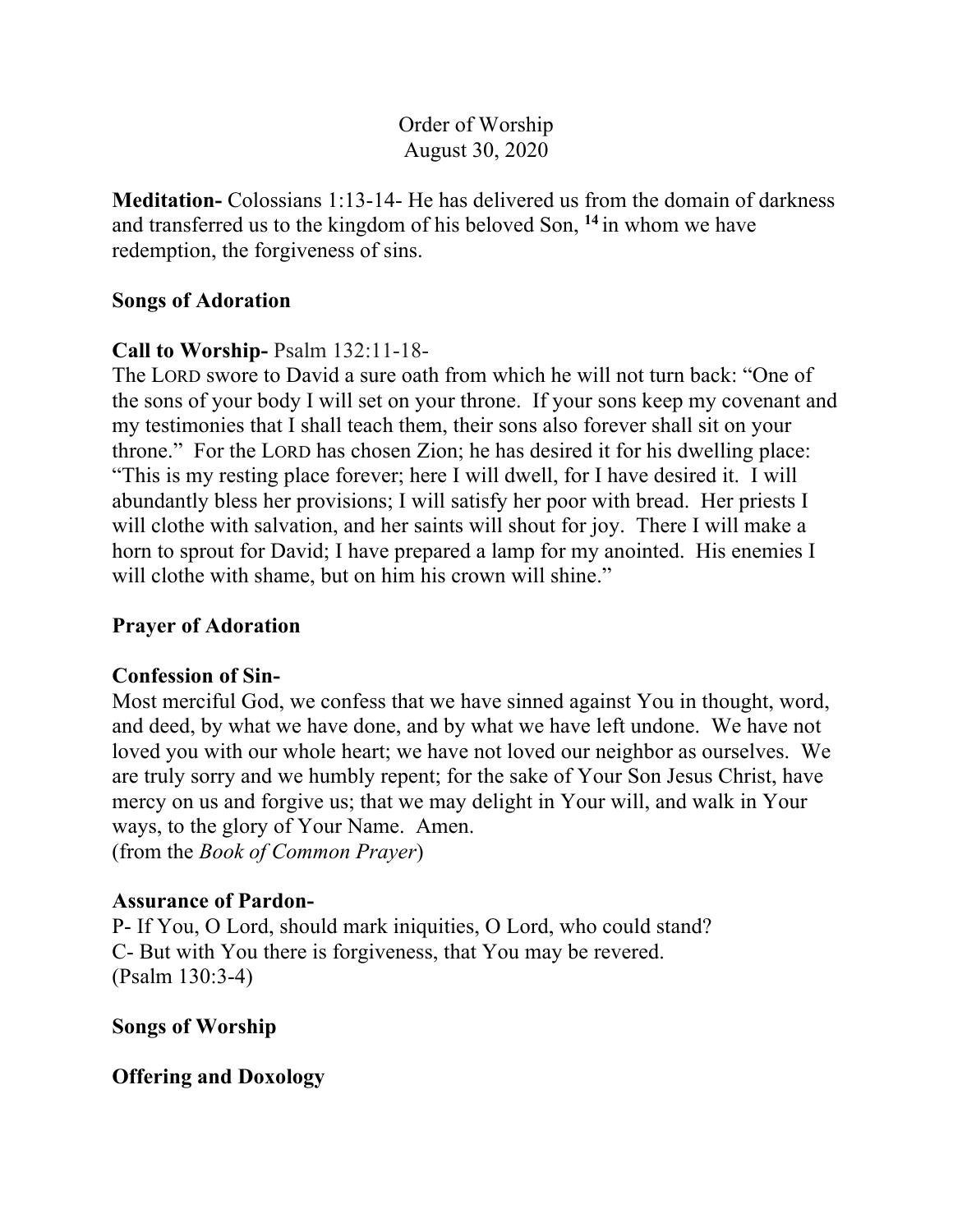# Order of Worship August 30, 2020

**Meditation-** Colossians 1:13-14- He has delivered us from the domain of darkness and transferred us to the kingdom of his beloved Son, **<sup>14</sup>** in whom we have redemption, the forgiveness of sins.

# **Songs of Adoration**

# **Call to Worship-** Psalm 132:11-18-

The LORD swore to David a sure oath from which he will not turn back: "One of the sons of your body I will set on your throne. If your sons keep my covenant and my testimonies that I shall teach them, their sons also forever shall sit on your throne." For the LORD has chosen Zion; he has desired it for his dwelling place: "This is my resting place forever; here I will dwell, for I have desired it. I will abundantly bless her provisions; I will satisfy her poor with bread. Her priests I will clothe with salvation, and her saints will shout for joy. There I will make a horn to sprout for David; I have prepared a lamp for my anointed. His enemies I will clothe with shame, but on him his crown will shine."

# **Prayer of Adoration**

# **Confession of Sin-**

Most merciful God, we confess that we have sinned against You in thought, word, and deed, by what we have done, and by what we have left undone. We have not loved you with our whole heart; we have not loved our neighbor as ourselves. We are truly sorry and we humbly repent; for the sake of Your Son Jesus Christ, have mercy on us and forgive us; that we may delight in Your will, and walk in Your ways, to the glory of Your Name. Amen. (from the *Book of Common Prayer*)

# **Assurance of Pardon-**

P- If You, O Lord, should mark iniquities, O Lord, who could stand? C- But with You there is forgiveness, that You may be revered. (Psalm 130:3-4)

**Songs of Worship**

**Offering and Doxology**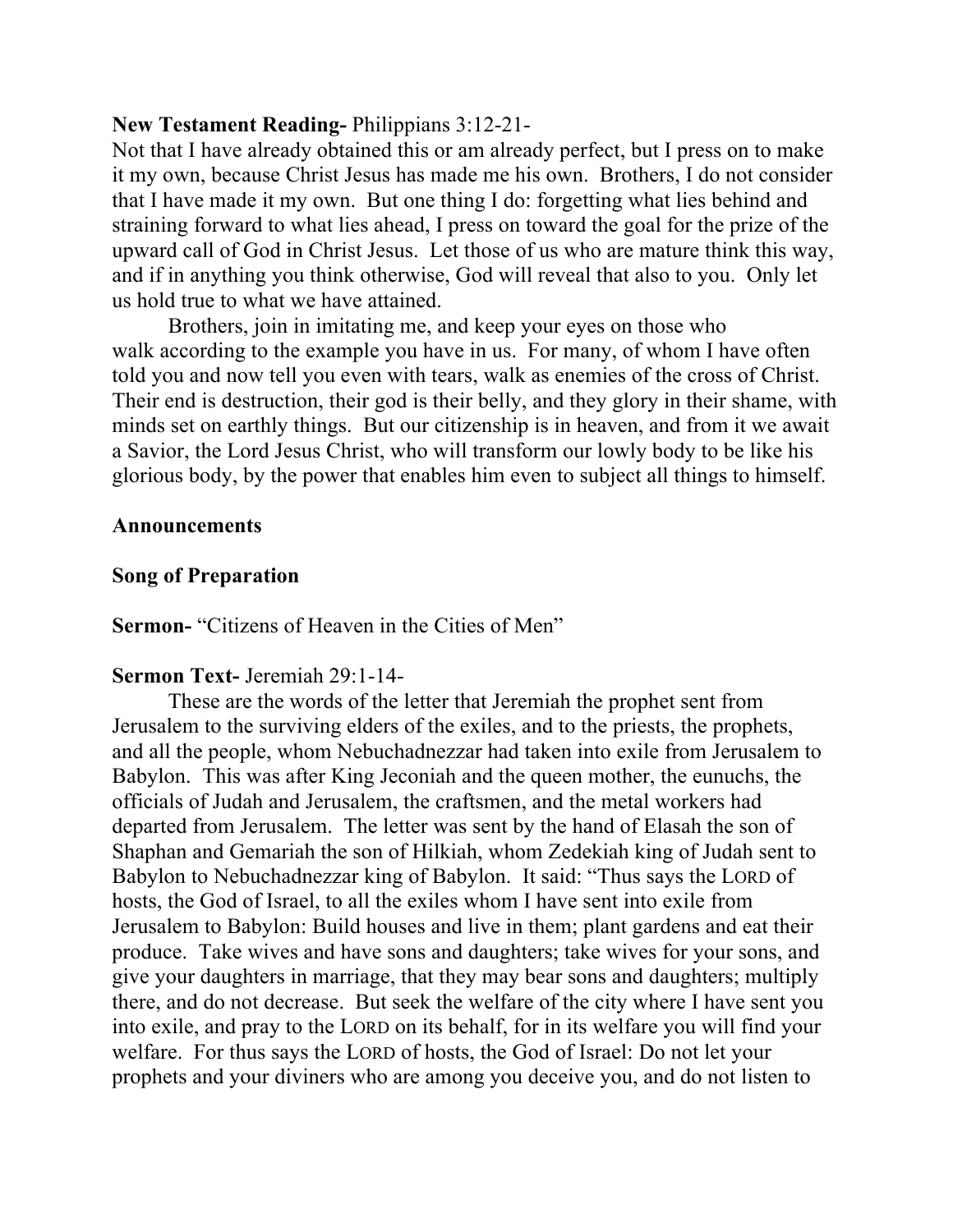# **New Testament Reading-** Philippians 3:12-21-

Not that I have already obtained this or am already perfect, but I press on to make it my own, because Christ Jesus has made me his own. Brothers, I do not consider that I have made it my own. But one thing I do: forgetting what lies behind and straining forward to what lies ahead, I press on toward the goal for the prize of the upward call of God in Christ Jesus. Let those of us who are mature think this way, and if in anything you think otherwise, God will reveal that also to you. Only let us hold true to what we have attained.

Brothers, join in imitating me, and keep your eyes on those who walk according to the example you have in us. For many, of whom I have often told you and now tell you even with tears, walk as enemies of the cross of Christ. Their end is destruction, their god is their belly, and they glory in their shame, with minds set on earthly things. But our citizenship is in heaven, and from it we await a Savior, the Lord Jesus Christ, who will transform our lowly body to be like his glorious body, by the power that enables him even to subject all things to himself.

#### **Announcements**

# **Song of Preparation**

**Sermon-** "Citizens of Heaven in the Cities of Men"

# **Sermon Text-** Jeremiah 29:1-14-

These are the words of the letter that Jeremiah the prophet sent from Jerusalem to the surviving elders of the exiles, and to the priests, the prophets, and all the people, whom Nebuchadnezzar had taken into exile from Jerusalem to Babylon. This was after King Jeconiah and the queen mother, the eunuchs, the officials of Judah and Jerusalem, the craftsmen, and the metal workers had departed from Jerusalem. The letter was sent by the hand of Elasah the son of Shaphan and Gemariah the son of Hilkiah, whom Zedekiah king of Judah sent to Babylon to Nebuchadnezzar king of Babylon. It said: "Thus says the LORD of hosts, the God of Israel, to all the exiles whom I have sent into exile from Jerusalem to Babylon: Build houses and live in them; plant gardens and eat their produce. Take wives and have sons and daughters; take wives for your sons, and give your daughters in marriage, that they may bear sons and daughters; multiply there, and do not decrease. But seek the welfare of the city where I have sent you into exile, and pray to the LORD on its behalf, for in its welfare you will find your welfare. For thus says the LORD of hosts, the God of Israel: Do not let your prophets and your diviners who are among you deceive you, and do not listen to